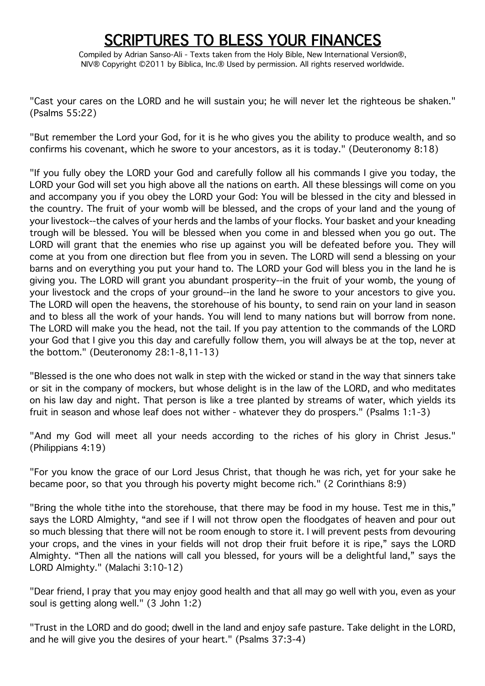## **SCRIPTURES TO BLESS YOUR FINANCES**<br>Compiled by Adrian Sanso-Ali - Texts taken from the Holy Bible, New International Version®,

NIV® Copyright ©2011 by Biblica, Inc.® Used by permission. All rights reserved worldwide.

"Cast your cares on the LORD and he will sustain you; he will never let the righteous be shaken." (Psalms 55:22)

"But remember the Lord your God, for it is he who gives you the ability to produce wealth, and so confirms his covenant, which he swore to your ancestors, as it is today." (Deuteronomy 8:18)

"If you fully obey the LORD your God and carefully follow all his commands I give you today, the LORD your God will set you high above all the nations on earth. All these blessings will come on you and accompany you if you obey the LORD your God: You will be blessed in the city and blessed in the country. The fruit of your womb will be blessed, and the crops of your land and the young of your livestock--the calves of your herds and the lambs of your flocks. Your basket and your kneading trough will be blessed. You will be blessed when you come in and blessed when you go out. The LORD will grant that the enemies who rise up against you will be defeated before you. They will come at you from one direction but flee from you in seven. The LORD will send a blessing on your barns and on everything you put your hand to. The LORD your God will bless you in the land he is giving you. The LORD will grant you abundant prosperity--in the fruit of your womb, the young of your livestock and the crops of your ground--in the land he swore to your ancestors to give you. The LORD will open the heavens, the storehouse of his bounty, to send rain on your land in season and to bless all the work of your hands. You will lend to many nations but will borrow from none. The LORD will make you the head, not the tail. If you pay attention to the commands of the LORD your God that I give you this day and carefully follow them, you will always be at the top, never at the bottom." (Deuteronomy 28:1-8,11-13)

"Blessed is the one who does not walk in step with the wicked or stand in the way that sinners take or sit in the company of mockers, but whose delight is in the law of the LORD, and who meditates on his law day and night. That person is like a tree planted by streams of water, which yields its fruit in season and whose leaf does not wither - whatever they do prospers." (Psalms 1:1-3)

"And my God will meet all your needs according to the riches of his glory in Christ Jesus." (Philippians 4:19)

"For you know the grace of our Lord Jesus Christ, that though he was rich, yet for your sake he became poor, so that you through his poverty might become rich." (2 Corinthians 8:9)

"Bring the whole tithe into the storehouse, that there may be food in my house. Test me in this," says the LORD Almighty, "and see if I will not throw open the floodgates of heaven and pour out so much blessing that there will not be room enough to store it. I will prevent pests from devouring your crops, and the vines in your fields will not drop their fruit before it is ripe," says the LORD Almighty. "Then all the nations will call you blessed, for yours will be a delightful land," says the LORD Almighty." (Malachi 3:10-12)

"Dear friend, I pray that you may enjoy good health and that all may go well with you, even as your soul is getting along well." (3 John 1:2)

"Trust in the LORD and do good; dwell in the land and enjoy safe pasture. Take delight in the LORD, and he will give you the desires of your heart." (Psalms 37:3-4)